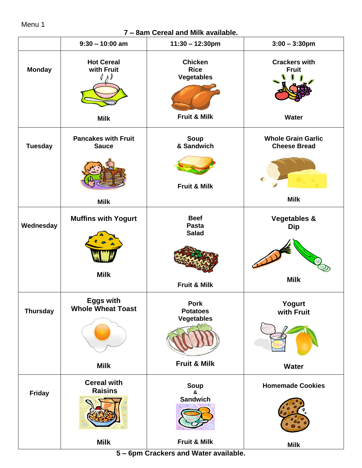## Menu 1

## **7 – 8am Cereal and Milk available.**

|                 | $9:30 - 10:00$ am                              | $11:30 - 12:30$ pm                                                 | $3:00 - 3:30$ pm                                 |
|-----------------|------------------------------------------------|--------------------------------------------------------------------|--------------------------------------------------|
| <b>Monday</b>   | <b>Hot Cereal</b><br>with Fruit<br><b>Milk</b> | <b>Chicken</b><br><b>Rice</b><br><b>Vegetables</b><br>Fruit & Milk | <b>Crackers with</b><br><b>Fruit</b><br>Water    |
| <b>Tuesday</b>  | <b>Pancakes with Fruit</b><br><b>Sauce</b>     | Soup<br>& Sandwich                                                 | <b>Whole Grain Garlic</b><br><b>Cheese Bread</b> |
|                 | <b>Milk</b>                                    | <b>Fruit &amp; Milk</b>                                            | ◀<br><b>Milk</b>                                 |
| Wednesday       | <b>Muffins with Yogurt</b>                     | <b>Beef</b><br>Pasta<br><b>Salad</b>                               | <b>Vegetables &amp;</b><br><b>Dip</b>            |
|                 | <b>Milk</b>                                    | Fruit & Milk                                                       | <b>Milk</b>                                      |
| <b>Thursday</b> | <b>Eggs with</b><br><b>Whole Wheat Toast</b>   | <b>Pork</b><br><b>Potatoes</b><br><b>Vegetables</b>                | Yogurt<br>with Fruit                             |
|                 | <b>Milk</b>                                    | Fruit & Milk                                                       | <b>Water</b>                                     |
| <b>Friday</b>   | <b>Cereal with</b><br><b>Raisins</b>           | Soup<br>&<br><b>Sandwich</b>                                       | <b>Homemade Cookies</b>                          |
|                 |                                                |                                                                    | 00                                               |
|                 | <b>Milk</b>                                    | Fruit & Milk                                                       | <b>Milk</b>                                      |

**5 – 6pm Crackers and Water available.**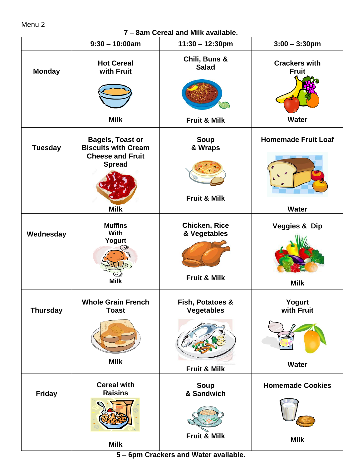## Menu 2

**7 – 8am Cereal and Milk available.**

|                 | $9:30 - 10:00am$                                                                                  | $11:30 - 12:30$ pm                                              | $3:00 - 3:30$ pm                        |
|-----------------|---------------------------------------------------------------------------------------------------|-----------------------------------------------------------------|-----------------------------------------|
| <b>Monday</b>   | <b>Hot Cereal</b><br>with Fruit                                                                   | Chili, Buns &<br><b>Salad</b>                                   | <b>Crackers with</b><br><b>Fruit</b>    |
|                 |                                                                                                   |                                                                 |                                         |
|                 | <b>Milk</b>                                                                                       | <b>Fruit &amp; Milk</b>                                         | <b>Water</b>                            |
| <b>Tuesday</b>  | <b>Bagels, Toast or</b><br><b>Biscuits with Cream</b><br><b>Cheese and Fruit</b><br><b>Spread</b> | <b>Soup</b><br>& Wraps<br><b>Fruit &amp; Milk</b>               | <b>Homemade Fruit Loaf</b>              |
|                 | <b>Milk</b>                                                                                       |                                                                 | <b>Water</b>                            |
| Wednesday       | <b>Muffins</b><br>With<br>Yogurt<br><b>Milk</b>                                                   | <b>Chicken, Rice</b><br>& Vegetables<br><b>Fruit &amp; Milk</b> | <b>Veggies &amp; Dip</b><br><b>Milk</b> |
| <b>Thursday</b> | Whole Grain French<br><b>Toast</b>                                                                | Fish, Potatoes &<br><b>Vegetables</b>                           | Yogurt<br>with Fruit                    |
|                 | <b>Milk</b>                                                                                       |                                                                 | <b>Water</b>                            |
|                 |                                                                                                   | Fruit & Milk                                                    |                                         |
| <b>Friday</b>   | <b>Cereal with</b><br><b>Raisins</b>                                                              | <b>Soup</b><br>& Sandwich                                       | <b>Homemade Cookies</b>                 |
|                 |                                                                                                   |                                                                 |                                         |
|                 | <b>Milk</b>                                                                                       | Fruit & Milk                                                    | <b>Milk</b>                             |

**5 – 6pm Crackers and Water available.**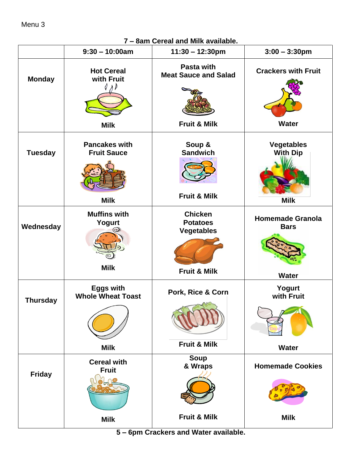**7 – 8am Cereal and Milk available.**

|                 | $9:30 - 10:00am$                                            | $11:30 - 12:30$ pm                                                                | $3:00 - 3:30$ pm                                       |
|-----------------|-------------------------------------------------------------|-----------------------------------------------------------------------------------|--------------------------------------------------------|
| <b>Monday</b>   | <b>Hot Cereal</b><br>with Fruit<br><b>Milk</b>              | Pasta with<br><b>Meat Sauce and Salad</b><br><b>Fruit &amp; Milk</b>              | <b>Crackers with Fruit</b><br><b>Water</b>             |
| <b>Tuesday</b>  | <b>Pancakes with</b><br><b>Fruit Sauce</b><br><b>Milk</b>   | Soup &<br><b>Sandwich</b><br><b>Fruit &amp; Milk</b>                              | <b>Vegetables</b><br><b>With Dip</b><br><b>Milk</b>    |
| Wednesday       | <b>Muffins with</b><br>Yogurt<br><b>Milk</b>                | <b>Chicken</b><br><b>Potatoes</b><br><b>Vegetables</b><br><b>Fruit &amp; Milk</b> | <b>Homemade Granola</b><br><b>Bars</b><br><b>Water</b> |
| <b>Thursday</b> | <b>Eggs with</b><br><b>Whole Wheat Toast</b><br><b>Milk</b> | Pork, Rice & Corn<br><b>Fruit &amp; Milk</b>                                      | Yogurt<br>with Fruit<br><b>Water</b>                   |
| <b>Friday</b>   | <b>Cereal with</b><br><b>Fruit</b><br><b>Milk</b>           | <b>Soup</b><br>& Wraps<br><b>Fruit &amp; Milk</b>                                 | <b>Homemade Cookies</b><br><b>Milk</b>                 |

**5 – 6pm Crackers and Water available.**